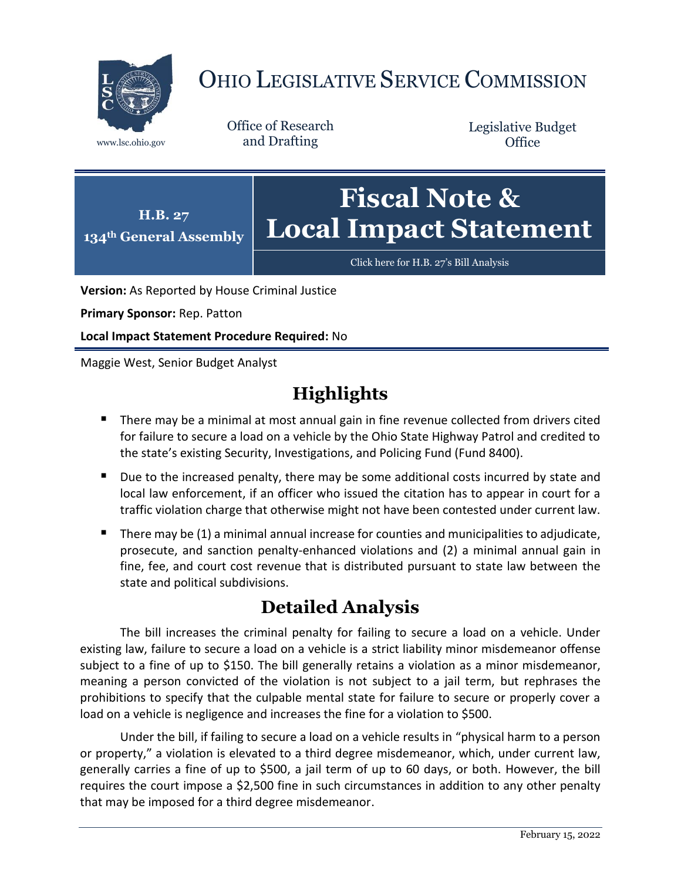

# OHIO LEGISLATIVE SERVICE COMMISSION

Office of Research www.lsc.ohio.gov and Drafting

Legislative Budget **Office** 



[Click here for H.B. 27](https://www.legislature.ohio.gov/legislation/legislation-documents?id=GA134-HB-27)'s Bill Analysis

**Version:** As Reported by House Criminal Justice

**Primary Sponsor:** Rep. Patton

**Local Impact Statement Procedure Required:** No

Maggie West, Senior Budget Analyst

# **Highlights**

- **There may be a minimal at most annual gain in fine revenue collected from drivers cited** for failure to secure a load on a vehicle by the Ohio State Highway Patrol and credited to the state's existing Security, Investigations, and Policing Fund (Fund 8400).
- Due to the increased penalty, there may be some additional costs incurred by state and local law enforcement, if an officer who issued the citation has to appear in court for a traffic violation charge that otherwise might not have been contested under current law.
- There may be  $(1)$  a minimal annual increase for counties and municipalities to adjudicate, prosecute, and sanction penalty-enhanced violations and (2) a minimal annual gain in fine, fee, and court cost revenue that is distributed pursuant to state law between the state and political subdivisions.

## **Detailed Analysis**

The bill increases the criminal penalty for failing to secure a load on a vehicle. Under existing law, failure to secure a load on a vehicle is a strict liability minor misdemeanor offense subject to a fine of up to \$150. The bill generally retains a violation as a minor misdemeanor, meaning a person convicted of the violation is not subject to a jail term, but rephrases the prohibitions to specify that the culpable mental state for failure to secure or properly cover a load on a vehicle is negligence and increases the fine for a violation to \$500.

Under the bill, if failing to secure a load on a vehicle results in "physical harm to a person or property," a violation is elevated to a third degree misdemeanor, which, under current law, generally carries a fine of up to \$500, a jail term of up to 60 days, or both. However, the bill requires the court impose a \$2,500 fine in such circumstances in addition to any other penalty that may be imposed for a third degree misdemeanor.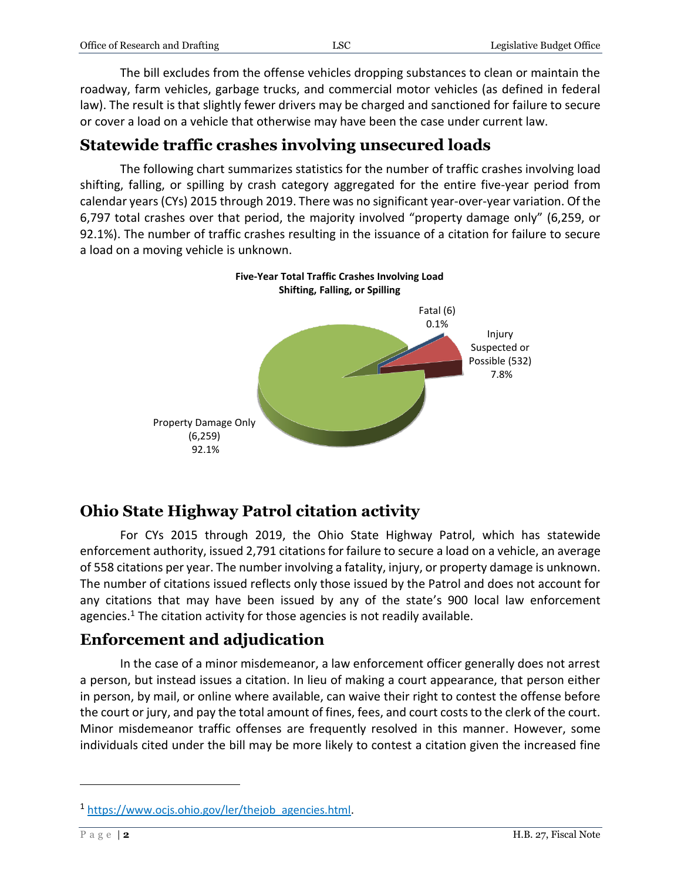| Office of Research and Drafting | ĹSC | Legislative Budget Office |
|---------------------------------|-----|---------------------------|
|                                 |     |                           |

The bill excludes from the offense vehicles dropping substances to clean or maintain the roadway, farm vehicles, garbage trucks, and commercial motor vehicles (as defined in federal law). The result is that slightly fewer drivers may be charged and sanctioned for failure to secure or cover a load on a vehicle that otherwise may have been the case under current law.

### **Statewide traffic crashes involving unsecured loads**

The following chart summarizes statistics for the number of traffic crashes involving load shifting, falling, or spilling by crash category aggregated for the entire five-year period from calendar years(CYs) 2015 through 2019. There was no significant year-over-year variation. Of the 6,797 total crashes over that period, the majority involved "property damage only" (6,259, or 92.1%). The number of traffic crashes resulting in the issuance of a citation for failure to secure a load on a moving vehicle is unknown.



### **Ohio State Highway Patrol citation activity**

For CYs 2015 through 2019, the Ohio State Highway Patrol, which has statewide enforcement authority, issued 2,791 citations for failure to secure a load on a vehicle, an average of 558 citations per year. The number involving a fatality, injury, or property damage is unknown. The number of citations issued reflects only those issued by the Patrol and does not account for any citations that may have been issued by any of the state's 900 local law enforcement agencies. <sup>1</sup> The citation activity for those agencies is not readily available.

## **Enforcement and adjudication**

In the case of a minor misdemeanor, a law enforcement officer generally does not arrest a person, but instead issues a citation. In lieu of making a court appearance, that person either in person, by mail, or online where available, can waive their right to contest the offense before the court or jury, and pay the total amount of fines, fees, and court costs to the clerk of the court. Minor misdemeanor traffic offenses are frequently resolved in this manner. However, some individuals cited under the bill may be more likely to contest a citation given the increased fine

 $\overline{a}$ 

<sup>&</sup>lt;sup>1</sup> https://www.ocjs.ohio.gov/ler/theiob\_agencies.html.